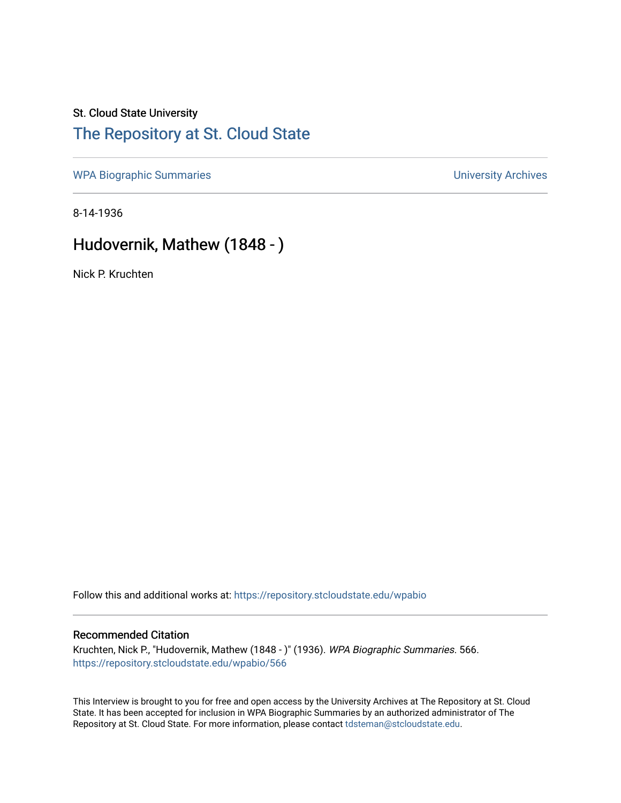## St. Cloud State University [The Repository at St. Cloud State](https://repository.stcloudstate.edu/)

[WPA Biographic Summaries](https://repository.stcloudstate.edu/wpabio) **WPA Biographic Summaries University Archives** 

8-14-1936

## Hudovernik, Mathew (1848 - )

Nick P. Kruchten

Follow this and additional works at: [https://repository.stcloudstate.edu/wpabio](https://repository.stcloudstate.edu/wpabio?utm_source=repository.stcloudstate.edu%2Fwpabio%2F566&utm_medium=PDF&utm_campaign=PDFCoverPages) 

### Recommended Citation

Kruchten, Nick P., "Hudovernik, Mathew (1848 - )" (1936). WPA Biographic Summaries. 566. [https://repository.stcloudstate.edu/wpabio/566](https://repository.stcloudstate.edu/wpabio/566?utm_source=repository.stcloudstate.edu%2Fwpabio%2F566&utm_medium=PDF&utm_campaign=PDFCoverPages) 

This Interview is brought to you for free and open access by the University Archives at The Repository at St. Cloud State. It has been accepted for inclusion in WPA Biographic Summaries by an authorized administrator of The Repository at St. Cloud State. For more information, please contact [tdsteman@stcloudstate.edu.](mailto:tdsteman@stcloudstate.edu)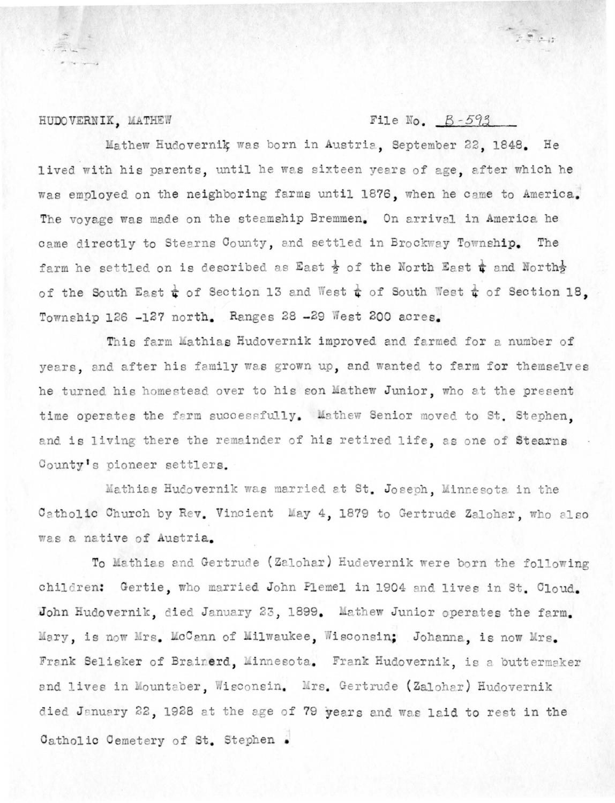#### HUDOVERNIK, MATHEW

### File No.  $B-593$

 $\mathbf{r}_i \in \mathbb{R}^{n_i}$ 

Mathew Hudovernik was born in Austria, September 22, 1848. He lived with his parents, until he was sixteen years of age, after which he was employed on the neighboring farms until 1876, when he came to America. The voyage was made on the steamship Bremmen. On arrival in America he came directly to Stearns County, and settled in Brockway Township. The farm he settled on is described as East  $\frac{1}{2}$  of the North East  $\frac{1}{4}$  and North $\frac{1}{2}$ of the South East  $\frac{1}{4}$  of Section 13 and West  $\frac{1}{4}$  of South West  $\frac{1}{4}$  of Section 18. Township 126 -127 north. Ranges 28 -29 West 200 acres.

This farm Mathias Hudovernik improved and farmed for a number of years, and after his family was grown up, and wanted to farm for themselves he turned his homestead over to his son Mathew Junior, who at the present time operates the farm successfully. Mathew Senior moved to St. Stephen. and is living there the remainder of his retired life, as one of Stearns County's pioneer settlers.

Mathias Hudovernik was married at St. Joseph, Minnesota in the Catholic Church by Rev. Vincient May 4, 1879 to Gertrude Zalohar, who also was a native of Austria.

To Mathias and Gertrude (Zalohar) Hudevernik were born the following children: Gertie, who married John Flemel in 1904 and lives in St. Cloud. John Hudovernik, died January 23, 1899. Mathew Junior operates the farm. Mary, is now Mrs. McCann of Milwaukee, Wisconsin; Johanna, is now Mrs. Frank Selisker of Brainerd, Minnesota. Frank Hudovernik, is a buttermaker and lives in Mountaber, Wisconsin, Mrs. Gertrude (Zalohar) Hudovernik died January 22, 1928 at the age of 79 years and was laid to rest in the Catholic Cemetery of St. Stephen.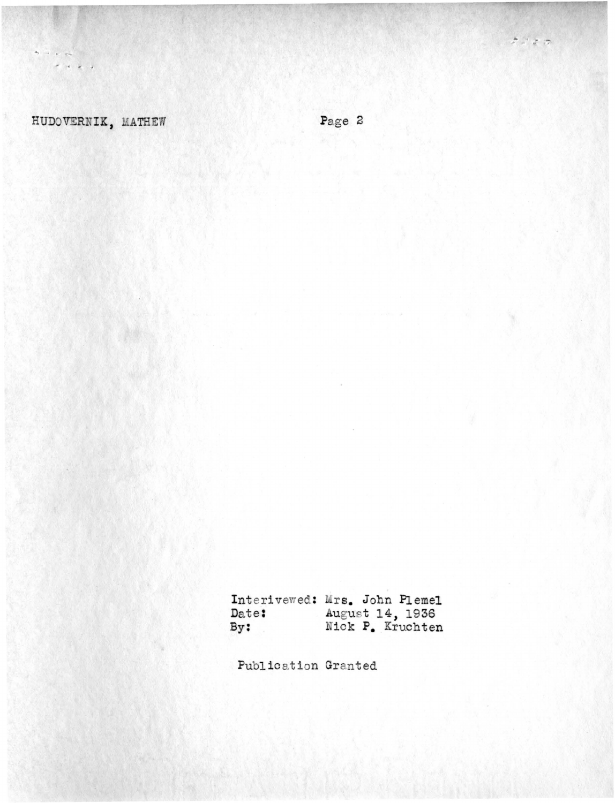### HUDOVERNIK, MATHEW

 $\begin{array}{ccccccccc} \bullet & \bullet & \bullet & \psi & \psi \star \end{array}$  $\mathcal{A}^{\prime} \leftarrow \mathcal{A}^{\prime} \leftarrow \mathcal{A}^{\prime}$ 

Page 2

Interivewed: Mrs. John Plemel August 14, 1936<br>Nick P. Kruchten Date:  $By:$ 

Publication Granted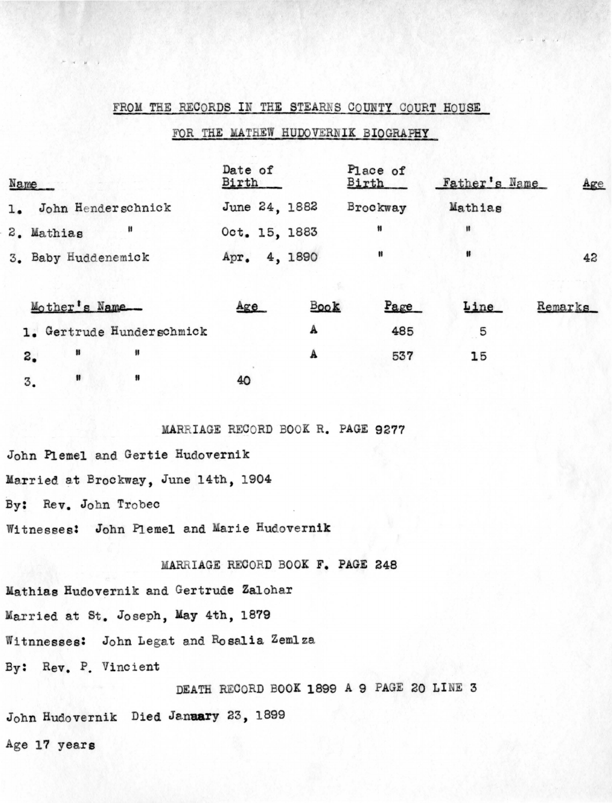### FROM THE RECORDS IN THE STEARNS COUNTY COURT HOUSE

### FOR THE MATHEW HUDOVERNIK BIOGRAPHY

| Name                             | Date of<br>Birth |             | Place of<br>Birth | Father's Name | Age     |
|----------------------------------|------------------|-------------|-------------------|---------------|---------|
| 1. John Henderschnick            | June 24, 1882    |             | Brockway          | Mathias       |         |
| 8<br>2. Mathias                  | Oct. 15, 1883    |             | Ħ                 | 韝             |         |
| 3. Baby Huddenemick              | Apr. 4, 1890     |             | Ħ                 | 11            | 42      |
| Mother's Name                    | Age              | <b>Book</b> | Page              | Line          | Remarks |
| 1. Gertrude Hunderschmick        |                  | A           | 485               | 5             |         |
| 锝<br>Ħ<br>$\mathbf{a}_{\bullet}$ |                  | A           | 537               | 15            |         |
| 88<br>Ħ<br>3.                    | 40               |             |                   |               |         |

MARRIAGE RECORD BOOK R. PAGE 9277

John Plemel and Gertie Hudovernik Married at Brockway, June 14th, 1904 By: Rev. John Trobec Witnesses: John Plemel and Marie Hudovernik

MARRIAGE RECORD BOOK F. PAGE 248

Mathias Hudovernik and Gertrude Zalohar Married at St. Joseph, May 4th, 1879 Witnnesses: John Legat and Rosalia Zemlza By: Rev. P. Vincient

DEATH RECORD BOOK 1899 A 9 PAGE 20 LINE 3 John Hudovernik Died January 23, 1899 Age 17 years